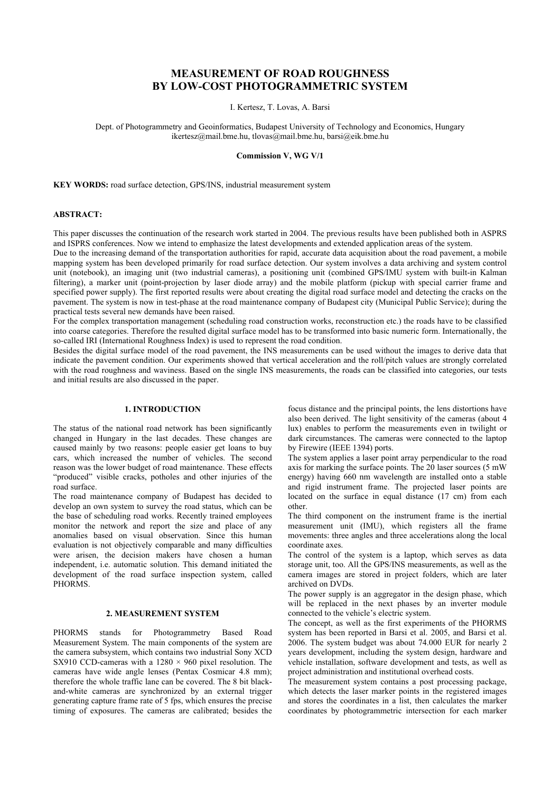# MEASUREMENT OF ROAD ROUGHNESS BY LOW-COST PHOTOGRAMMETRIC SYSTEM

I. Kertesz, T. Lovas, A. Barsi

Dept. of Photogrammetry and Geoinformatics, Budapest University of Technology and Economics, Hungary ikertesz@mail.bme.hu, tlovas@mail.bme.hu, barsi@eik.bme.hu

#### Commission V, WG V/1

KEY WORDS: road surface detection, GPS/INS, industrial measurement system

## ABSTRACT:

This paper discusses the continuation of the research work started in 2004. The previous results have been published both in ASPRS and ISPRS conferences. Now we intend to emphasize the latest developments and extended application areas of the system.

Due to the increasing demand of the transportation authorities for rapid, accurate data acquisition about the road pavement, a mobile mapping system has been developed primarily for road surface detection. Our system involves a data archiving and system control unit (notebook), an imaging unit (two industrial cameras), a positioning unit (combined GPS/IMU system with built-in Kalman filtering), a marker unit (point-projection by laser diode array) and the mobile platform (pickup with special carrier frame and specified power supply). The first reported results were about creating the digital road surface model and detecting the cracks on the pavement. The system is now in test-phase at the road maintenance company of Budapest city (Municipal Public Service); during the practical tests several new demands have been raised.

For the complex transportation management (scheduling road construction works, reconstruction etc.) the roads have to be classified into coarse categories. Therefore the resulted digital surface model has to be transformed into basic numeric form. Internationally, the so-called IRI (International Roughness Index) is used to represent the road condition.

Besides the digital surface model of the road pavement, the INS measurements can be used without the images to derive data that indicate the pavement condition. Our experiments showed that vertical acceleration and the roll/pitch values are strongly correlated with the road roughness and waviness. Based on the single INS measurements, the roads can be classified into categories, our tests and initial results are also discussed in the paper.

#### 1. INTRODUCTION

The status of the national road network has been significantly changed in Hungary in the last decades. These changes are caused mainly by two reasons: people easier get loans to buy cars, which increased the number of vehicles. The second reason was the lower budget of road maintenance. These effects "produced" visible cracks, potholes and other injuries of the road surface.

The road maintenance company of Budapest has decided to develop an own system to survey the road status, which can be the base of scheduling road works. Recently trained employees monitor the network and report the size and place of any anomalies based on visual observation. Since this human evaluation is not objectively comparable and many difficulties were arisen, the decision makers have chosen a human independent, i.e. automatic solution. This demand initiated the development of the road surface inspection system, called PHORM<sub>S</sub>

# 2. MEASUREMENT SYSTEM

PHORMS stands for Photogrammetry Based Road Measurement System. The main components of the system are the camera subsystem, which contains two industrial Sony XCD SX910 CCD-cameras with a  $1280 \times 960$  pixel resolution. The cameras have wide angle lenses (Pentax Cosmicar 4.8 mm); therefore the whole traffic lane can be covered. The 8 bit blackand-white cameras are synchronized by an external trigger generating capture frame rate of 5 fps, which ensures the precise timing of exposures. The cameras are calibrated; besides the

focus distance and the principal points, the lens distortions have also been derived. The light sensitivity of the cameras (about 4 lux) enables to perform the measurements even in twilight or dark circumstances. The cameras were connected to the laptop by Firewire (IEEE 1394) ports.

The system applies a laser point array perpendicular to the road axis for marking the surface points. The 20 laser sources (5 mW energy) having 660 nm wavelength are installed onto a stable and rigid instrument frame. The projected laser points are located on the surface in equal distance (17 cm) from each other.

The third component on the instrument frame is the inertial measurement unit (IMU), which registers all the frame movements: three angles and three accelerations along the local coordinate axes.

The control of the system is a laptop, which serves as data storage unit, too. All the GPS/INS measurements, as well as the camera images are stored in project folders, which are later archived on DVDs.

The power supply is an aggregator in the design phase, which will be replaced in the next phases by an inverter module connected to the vehicle's electric system.

The concept, as well as the first experiments of the PHORMS system has been reported in Barsi et al. 2005, and Barsi et al. 2006. The system budget was about 74.000 EUR for nearly 2 years development, including the system design, hardware and vehicle installation, software development and tests, as well as project administration and institutional overhead costs.

The measurement system contains a post processing package, which detects the laser marker points in the registered images and stores the coordinates in a list, then calculates the marker coordinates by photogrammetric intersection for each marker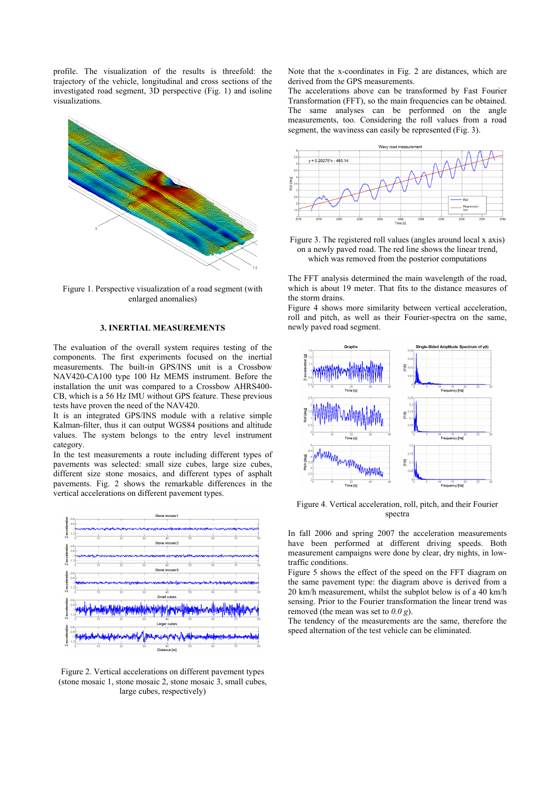profile. The visualization of the results is threefold: the trajectory of the vehicle, longitudinal and cross sections of the investigated road segment, 3D perspective (Fig. 1) and isoline visualizations.



Figure 1. Perspective visualization of a road segment (with enlarged anomalies)

## 3. INERTIAL MEASUREMENTS

The evaluation of the overall system requires testing of the components. The first experiments focused on the inertial measurements. The built-in GPS/INS unit is a Crossbow NAV420-CA100 type 100 Hz MEMS instrument. Before the installation the unit was compared to a Crossbow AHRS400- CB, which is a 56 Hz IMU without GPS feature. These previous tests have proven the need of the NAV420.

It is an integrated GPS/INS module with a relative simple Kalman-filter, thus it can output WGS84 positions and altitude values. The system belongs to the entry level instrument category.

In the test measurements a route including different types of pavements was selected: small size cubes, large size cubes, different size stone mosaics, and different types of asphalt pavements. Fig. 2 shows the remarkable differences in the vertical accelerations on different pavement types.



Figure 2. Vertical accelerations on different pavement types (stone mosaic 1, stone mosaic 2, stone mosaic 3, small cubes, large cubes, respectively)

Note that the x-coordinates in Fig. 2 are distances, which are derived from the GPS measurements.

The accelerations above can be transformed by Fast Fourier Transformation (FFT), so the main frequencies can be obtained. The same analyses can be performed on the angle measurements, too. Considering the roll values from a road segment, the waviness can easily be represented (Fig. 3).



Figure 3. The registered roll values (angles around local x axis) on a newly paved road. The red line shows the linear trend, which was removed from the posterior computations

The FFT analysis determined the main wavelength of the road, which is about 19 meter. That fits to the distance measures of the storm drains.

Figure 4 shows more similarity between vertical acceleration, roll and pitch, as well as their Fourier-spectra on the same, newly paved road segment.



Figure 4. Vertical acceleration, roll, pitch, and their Fourier spectra

In fall 2006 and spring 2007 the acceleration measurements have been performed at different driving speeds. Both measurement campaigns were done by clear, dry nights, in lowtraffic conditions.

Figure 5 shows the effect of the speed on the FFT diagram on the same pavement type: the diagram above is derived from a 20 km/h measurement, whilst the subplot below is of a 40 km/h sensing. Prior to the Fourier transformation the linear trend was removed (the mean was set to  $0.0 g$ ).

The tendency of the measurements are the same, therefore the speed alternation of the test vehicle can be eliminated.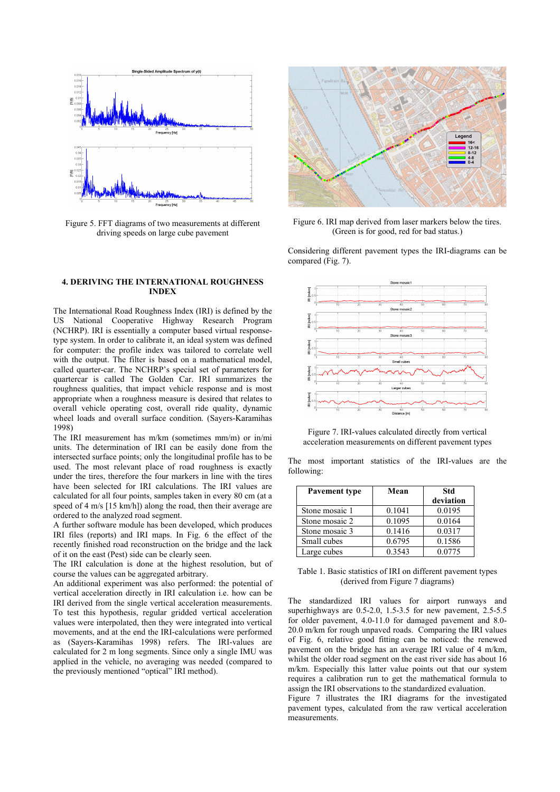

Figure 5. FFT diagrams of two measurements at different driving speeds on large cube pavement

## 4. DERIVING THE INTERNATIONAL ROUGHNESS INDEX

The International Road Roughness Index (IRI) is defined by the US National Cooperative Highway Research Program (NCHRP). IRI is essentially a computer based virtual responsetype system. In order to calibrate it, an ideal system was defined for computer: the profile index was tailored to correlate well with the output. The filter is based on a mathematical model, called quarter-car. The NCHRP's special set of parameters for quartercar is called The Golden Car. IRI summarizes the roughness qualities, that impact vehicle response and is most appropriate when a roughness measure is desired that relates to overall vehicle operating cost, overall ride quality, dynamic wheel loads and overall surface condition. (Sayers-Karamihas 1998)

The IRI measurement has m/km (sometimes mm/m) or in/mi units. The determination of IRI can be easily done from the intersected surface points; only the longitudinal profile has to be used. The most relevant place of road roughness is exactly under the tires, therefore the four markers in line with the tires have been selected for IRI calculations. The IRI values are calculated for all four points, samples taken in every 80 cm (at a speed of 4 m/s [15 km/h]) along the road, then their average are ordered to the analyzed road segment.

A further software module has been developed, which produces IRI files (reports) and IRI maps. In Fig. 6 the effect of the recently finished road reconstruction on the bridge and the lack of it on the east (Pest) side can be clearly seen.

The IRI calculation is done at the highest resolution, but of course the values can be aggregated arbitrary.

An additional experiment was also performed: the potential of vertical acceleration directly in IRI calculation i.e. how can be IRI derived from the single vertical acceleration measurements. To test this hypothesis, regular gridded vertical acceleration values were interpolated, then they were integrated into vertical movements, and at the end the IRI-calculations were performed as (Sayers-Karamihas 1998) refers. The IRI-values are calculated for 2 m long segments. Since only a single IMU was applied in the vehicle, no averaging was needed (compared to the previously mentioned "optical" IRI method).



Figure 6. IRI map derived from laser markers below the tires. (Green is for good, red for bad status.)

Considering different pavement types the IRI-diagrams can be compared (Fig. 7).



Figure 7. IRI-values calculated directly from vertical acceleration measurements on different pavement types

The most important statistics of the IRI-values are the following:

| Pavement type  | Mean   | Std       |
|----------------|--------|-----------|
|                |        | deviation |
| Stone mosaic 1 | 0.1041 | 0.0195    |
| Stone mosaic 2 | 0.1095 | 0.0164    |
| Stone mosaic 3 | 0.1416 | 0.0317    |
| Small cubes    | 0.6795 | 0.1586    |
| Large cubes    | 0.3543 | 0.0775    |

|                                  |  | Table 1. Basic statistics of IRI on different pavement types |
|----------------------------------|--|--------------------------------------------------------------|
| (derived from Figure 7 diagrams) |  |                                                              |

The standardized IRI values for airport runways and superhighways are 0.5-2.0, 1.5-3.5 for new pavement, 2.5-5.5 for older pavement, 4.0-11.0 for damaged pavement and 8.0- 20.0 m/km for rough unpaved roads. Comparing the IRI values of Fig. 6, relative good fitting can be noticed: the renewed pavement on the bridge has an average IRI value of 4 m/km, whilst the older road segment on the east river side has about 16 m/km. Especially this latter value points out that our system requires a calibration run to get the mathematical formula to assign the IRI observations to the standardized evaluation.

Figure 7 illustrates the IRI diagrams for the investigated pavement types, calculated from the raw vertical acceleration measurements.